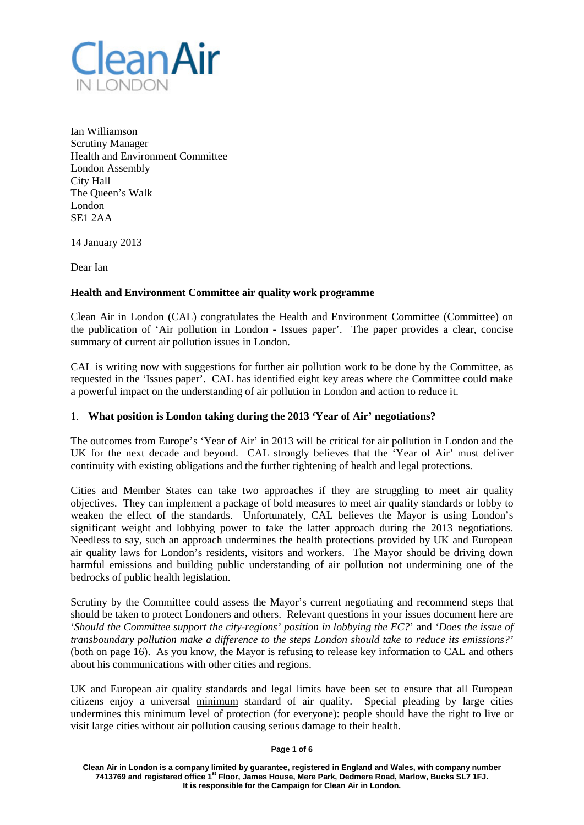

Ian Williamson Scrutiny Manager Health and Environment Committee London Assembly City Hall The Queen's Walk London SE1 2AA

14 January 2013

Dear Ian

## **Health and Environment Committee air quality work programme**

Clean Air in London (CAL) congratulates the Health and Environment Committee (Committee) on the publication of 'Air pollution in London - Issues paper'. The paper provides a clear, concise summary of current air pollution issues in London.

CAL is writing now with suggestions for further air pollution work to be done by the Committee, as requested in the 'Issues paper'. CAL has identified eight key areas where the Committee could make a powerful impact on the understanding of air pollution in London and action to reduce it.

## 1. **What position is London taking during the 2013 'Year of Air' negotiations?**

The outcomes from Europe's 'Year of Air' in 2013 will be critical for air pollution in London and the UK for the next decade and beyond. CAL strongly believes that the 'Year of Air' must deliver continuity with existing obligations and the further tightening of health and legal protections.

Cities and Member States can take two approaches if they are struggling to meet air quality objectives. They can implement a package of bold measures to meet air quality standards or lobby to weaken the effect of the standards. Unfortunately, CAL believes the Mayor is using London's significant weight and lobbying power to take the latter approach during the 2013 negotiations. Needless to say, such an approach undermines the health protections provided by UK and European air quality laws for London's residents, visitors and workers. The Mayor should be driving down harmful emissions and building public understanding of air pollution not undermining one of the bedrocks of public health legislation.

Scrutiny by the Committee could assess the Mayor's current negotiating and recommend steps that should be taken to protect Londoners and others. Relevant questions in your issues document here are '*Should the Committee support the city-regions' position in lobbying the EC?*' and *'Does the issue of transboundary pollution make a difference to the steps London should take to reduce its emissions?'* (both on page 16). As you know, the Mayor is refusing to release key information to CAL and others about his communications with other cities and regions.

UK and European air quality standards and legal limits have been set to ensure that all European citizens enjoy a universal minimum standard of air quality. Special pleading by large cities undermines this minimum level of protection (for everyone): people should have the right to live or visit large cities without air pollution causing serious damage to their health.

#### **Page 1 of 6**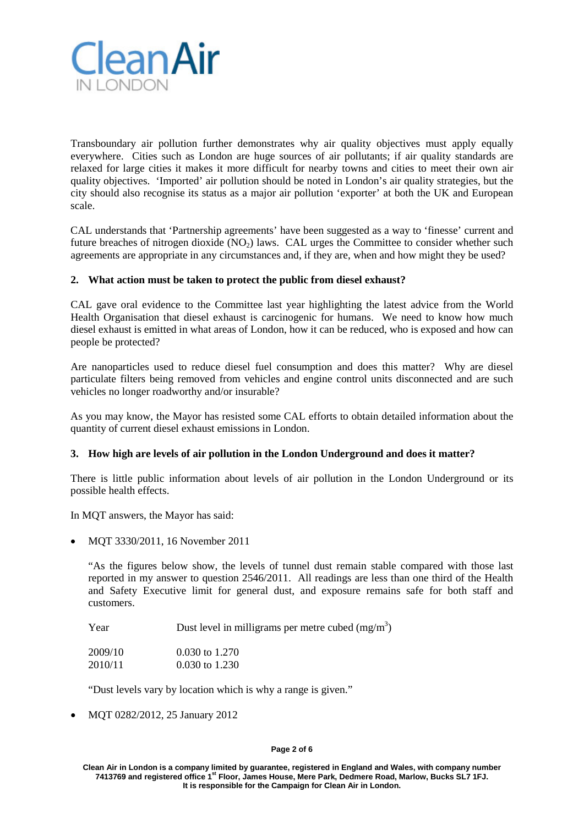

Transboundary air pollution further demonstrates why air quality objectives must apply equally everywhere. Cities such as London are huge sources of air pollutants; if air quality standards are relaxed for large cities it makes it more difficult for nearby towns and cities to meet their own air quality objectives. 'Imported' air pollution should be noted in London's air quality strategies, but the city should also recognise its status as a major air pollution 'exporter' at both the UK and European scale.

CAL understands that 'Partnership agreements' have been suggested as a way to 'finesse' current and future breaches of nitrogen dioxide  $(NO<sub>2</sub>)$  laws. CAL urges the Committee to consider whether such agreements are appropriate in any circumstances and, if they are, when and how might they be used?

# **2. What action must be taken to protect the public from diesel exhaust?**

CAL gave oral evidence to the Committee last year highlighting the latest advice from the World Health Organisation that diesel exhaust is carcinogenic for humans. We need to know how much diesel exhaust is emitted in what areas of London, how it can be reduced, who is exposed and how can people be protected?

Are nanoparticles used to reduce diesel fuel consumption and does this matter? Why are diesel particulate filters being removed from vehicles and engine control units disconnected and are such vehicles no longer roadworthy and/or insurable?

As you may know, the Mayor has resisted some CAL efforts to obtain detailed information about the quantity of current diesel exhaust emissions in London.

## **3. How high are levels of air pollution in the London Underground and does it matter?**

There is little public information about levels of air pollution in the London Underground or its possible health effects.

In MQT answers, the Mayor has said:

• MQT 3330/2011, 16 November 2011

"As the figures below show, the levels of tunnel dust remain stable compared with those last reported in my answer to question 2546/2011. All readings are less than one third of the Health and Safety Executive limit for general dust, and exposure remains safe for both staff and customers.

Year Dust level in milligrams per metre cubed  $(mg/m<sup>3</sup>)$ 

| 2009/10 | $0.030$ to 1.270 |
|---------|------------------|
| 2010/11 | $0.030$ to 1.230 |

"Dust levels vary by location which is why a range is given."

• MQT 0282/2012, 25 January 2012

#### **Page 2 of 6**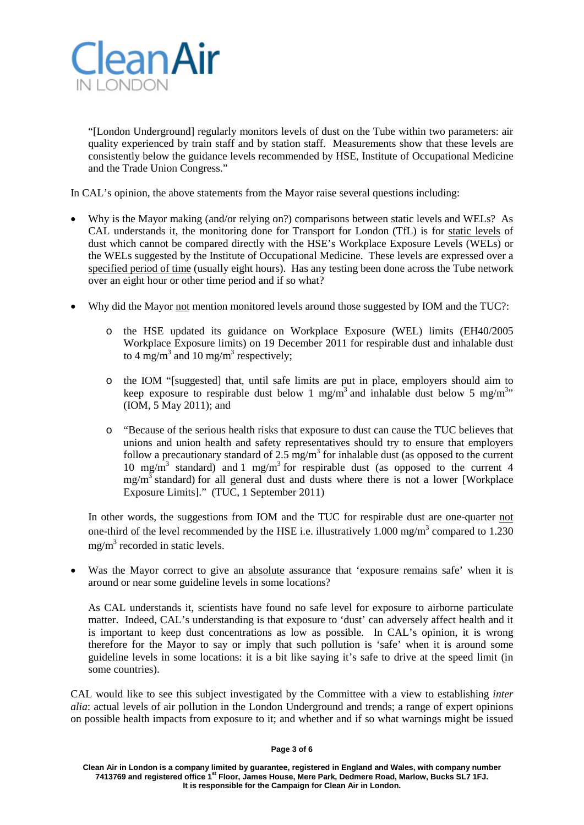

"[London Underground] regularly monitors levels of dust on the Tube within two parameters: air quality experienced by train staff and by station staff. Measurements show that these levels are consistently below the guidance levels recommended by HSE, Institute of Occupational Medicine and the Trade Union Congress."

In CAL's opinion, the above statements from the Mayor raise several questions including:

- Why is the Mayor making (and/or relying on?) comparisons between static levels and WELs? As CAL understands it, the monitoring done for Transport for London (TfL) is for static levels of dust which cannot be compared directly with the HSE's Workplace Exposure Levels (WELs) or the WELs suggested by the Institute of Occupational Medicine. These levels are expressed over a specified period of time (usually eight hours). Has any testing been done across the Tube network over an eight hour or other time period and if so what?
- Why did the Mayor not mention monitored levels around those suggested by IOM and the TUC?:
	- o the HSE updated its guidance on Workplace Exposure (WEL) limits (EH40/2005 Workplace Exposure limits) on 19 December 2011 for respirable dust and inhalable dust to 4 mg/m<sup>3</sup> and 10 mg/m<sup>3</sup> respectively;
	- o the IOM "[suggested] that, until safe limits are put in place, employers should aim to keep exposure to respirable dust below 1 mg/m<sup>3</sup> and inhalable dust below 5 mg/m<sup>3</sup>" (IOM, 5 May 2011); and
	- o "Because of the serious health risks that exposure to dust can cause the TUC believes that unions and union health and safety representatives should try to ensure that employers follow a precautionary standard of 2.5 mg/m<sup>3</sup> for inhalable dust (as opposed to the current 10 mg/m<sup>3</sup> standard) and 1 mg/m<sup>3</sup> for respirable dust (as opposed to the current 4  $mg/m<sup>3</sup>$  standard) for all general dust and dusts where there is not a lower [Workplace Exposure Limits]." (TUC, 1 September 2011)

In other words, the suggestions from IOM and the TUC for respirable dust are one-quarter not one-third of the level recommended by the HSE i.e. illustratively  $1.000 \text{ mg/m}^3$  compared to  $1.230$  $mg/m<sup>3</sup>$  recorded in static levels.

Was the Mayor correct to give an absolute assurance that 'exposure remains safe' when it is around or near some guideline levels in some locations?

As CAL understands it, scientists have found no safe level for exposure to airborne particulate matter. Indeed, CAL's understanding is that exposure to 'dust' can adversely affect health and it is important to keep dust concentrations as low as possible. In CAL's opinion, it is wrong therefore for the Mayor to say or imply that such pollution is 'safe' when it is around some guideline levels in some locations: it is a bit like saying it's safe to drive at the speed limit (in some countries).

CAL would like to see this subject investigated by the Committee with a view to establishing *inter alia*: actual levels of air pollution in the London Underground and trends; a range of expert opinions on possible health impacts from exposure to it; and whether and if so what warnings might be issued

#### **Page 3 of 6**

**Clean Air in London is a company limited by guarantee, registered in England and Wales, with company number 7413769 and registered office 1st Floor, James House, Mere Park, Dedmere Road, Marlow, Bucks SL7 1FJ. It is responsible for the Campaign for Clean Air in London.**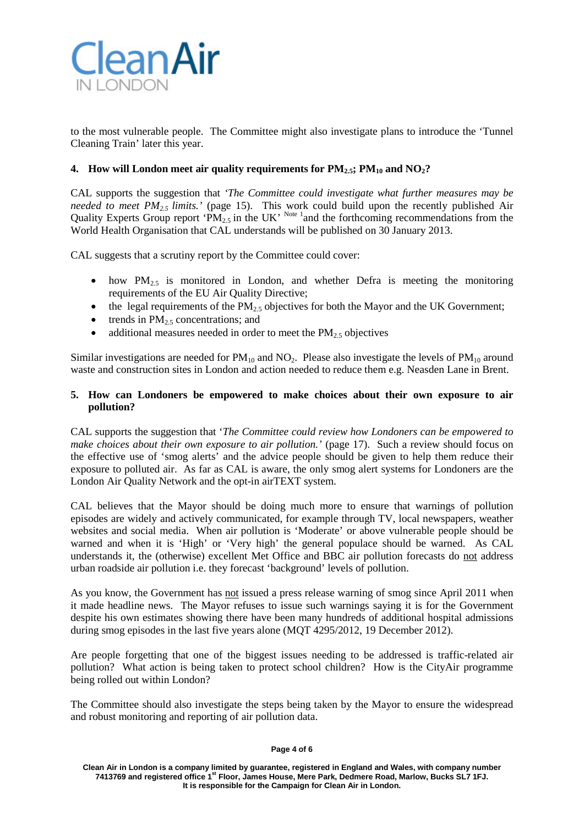

to the most vulnerable people. The Committee might also investigate plans to introduce the 'Tunnel Cleaning Train' later this year.

# **4. How will London meet air quality requirements for**  $PM_{2.5}$ **;**  $PM_{10}$  **and**  $NO_2$ **?**

CAL supports the suggestion that *'The Committee could investigate what further measures may be needed to meet PM2.5 limits.'* (page 15). This work could build upon the recently published Air Quality Experts Group report 'PM<sub>2.5</sub> in the UK' <sup>Note 1</sup> and the forthcoming recommendations from the World Health Organisation that CAL understands will be published on 30 January 2013.

CAL suggests that a scrutiny report by the Committee could cover:

- how  $PM_{2.5}$  is monitored in London, and whether Defra is meeting the monitoring requirements of the EU Air Quality Directive;
- the legal requirements of the  $PM_{2.5}$  objectives for both the Mayor and the UK Government;
- trends in  $PM_{2.5}$  concentrations; and
- additional measures needed in order to meet the  $PM<sub>2.5</sub>$  objectives

Similar investigations are needed for  $PM_{10}$  and  $NO_2$ . Please also investigate the levels of  $PM_{10}$  around waste and construction sites in London and action needed to reduce them e.g. Neasden Lane in Brent.

## **5. How can Londoners be empowered to make choices about their own exposure to air pollution?**

CAL supports the suggestion that '*The Committee could review how Londoners can be empowered to make choices about their own exposure to air pollution.'* (page 17). Such a review should focus on the effective use of 'smog alerts' and the advice people should be given to help them reduce their exposure to polluted air. As far as CAL is aware, the only smog alert systems for Londoners are the London Air Quality Network and the opt-in airTEXT system.

CAL believes that the Mayor should be doing much more to ensure that warnings of pollution episodes are widely and actively communicated, for example through TV, local newspapers, weather websites and social media. When air pollution is 'Moderate' or above vulnerable people should be warned and when it is 'High' or 'Very high' the general populace should be warned. As CAL understands it, the (otherwise) excellent Met Office and BBC air pollution forecasts do not address urban roadside air pollution i.e. they forecast 'background' levels of pollution.

As you know, the Government has not issued a press release warning of smog since April 2011 when it made headline news. The Mayor refuses to issue such warnings saying it is for the Government despite his own estimates showing there have been many hundreds of additional hospital admissions during smog episodes in the last five years alone (MQT 4295/2012, 19 December 2012).

Are people forgetting that one of the biggest issues needing to be addressed is traffic-related air pollution? What action is being taken to protect school children? How is the CityAir programme being rolled out within London?

The Committee should also investigate the steps being taken by the Mayor to ensure the widespread and robust monitoring and reporting of air pollution data.

#### **Page 4 of 6**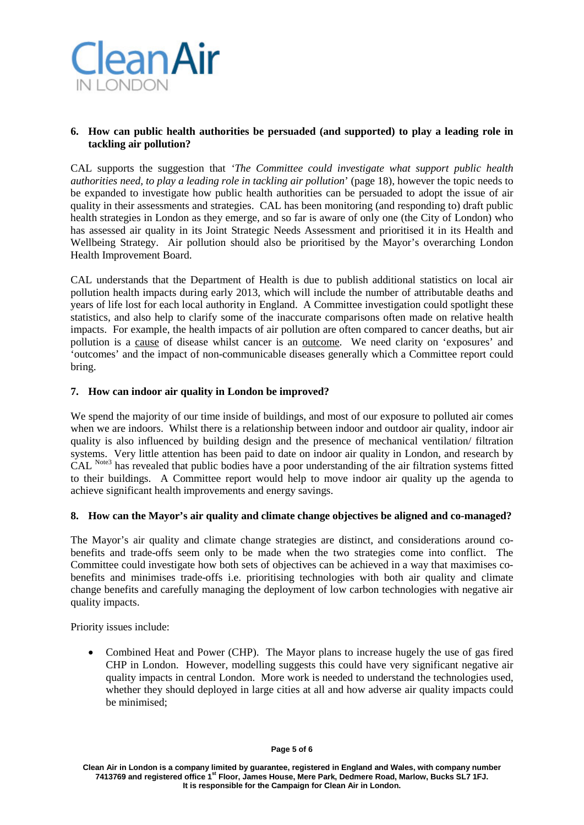

# **6. How can public health authorities be persuaded (and supported) to play a leading role in tackling air pollution?**

CAL supports the suggestion that *'The Committee could investigate what support public health authorities need, to play a leading role in tackling air pollution*' (page 18), however the topic needs to be expanded to investigate how public health authorities can be persuaded to adopt the issue of air quality in their assessments and strategies. CAL has been monitoring (and responding to) draft public health strategies in London as they emerge, and so far is aware of only one (the City of London) who has assessed air quality in its Joint Strategic Needs Assessment and prioritised it in its Health and Wellbeing Strategy. Air pollution should also be prioritised by the Mayor's overarching London Health Improvement Board.

CAL understands that the Department of Health is due to publish additional statistics on local air pollution health impacts during early 2013, which will include the number of attributable deaths and years of life lost for each local authority in England. A Committee investigation could spotlight these statistics, and also help to clarify some of the inaccurate comparisons often made on relative health impacts. For example, the health impacts of air pollution are often compared to cancer deaths, but air pollution is a cause of disease whilst cancer is an outcome. We need clarity on 'exposures' and 'outcomes' and the impact of non-communicable diseases generally which a Committee report could bring.

# **7. How can indoor air quality in London be improved?**

We spend the majority of our time inside of buildings, and most of our exposure to polluted air comes when we are indoors. Whilst there is a relationship between indoor and outdoor air quality, indoor air quality is also influenced by building design and the presence of mechanical ventilation/ filtration systems. Very little attention has been paid to date on indoor air quality in London, and research by CAL Note3 has revealed that public bodies have a poor understanding of the air filtration systems fitted to their buildings. A Committee report would help to move indoor air quality up the agenda to achieve significant health improvements and energy savings.

## **8. How can the Mayor's air quality and climate change objectives be aligned and co-managed?**

The Mayor's air quality and climate change strategies are distinct, and considerations around cobenefits and trade-offs seem only to be made when the two strategies come into conflict. The Committee could investigate how both sets of objectives can be achieved in a way that maximises cobenefits and minimises trade-offs i.e. prioritising technologies with both air quality and climate change benefits and carefully managing the deployment of low carbon technologies with negative air quality impacts.

Priority issues include:

• Combined Heat and Power (CHP). The Mayor plans to increase hugely the use of gas fired CHP in London. However, modelling suggests this could have very significant negative air quality impacts in central London. More work is needed to understand the technologies used, whether they should deployed in large cities at all and how adverse air quality impacts could be minimised;